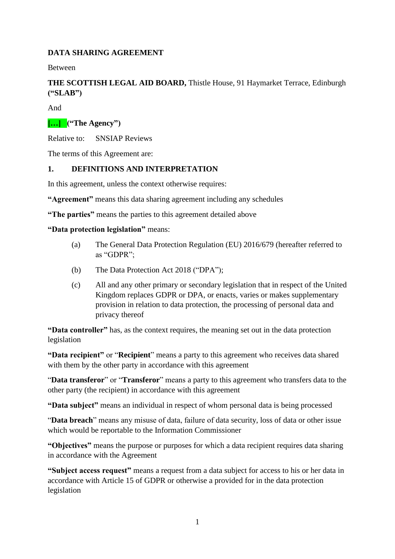## **DATA SHARING AGREEMENT**

Between

## **THE SCOTTISH LEGAL AID BOARD,** Thistle House, 91 Haymarket Terrace, Edinburgh **("SLAB")**

And

## **[…] ("The Agency")**

Relative to: SNSIAP Reviews

The terms of this Agreement are:

#### **1. DEFINITIONS AND INTERPRETATION**

In this agreement, unless the context otherwise requires:

**"Agreement"** means this data sharing agreement including any schedules

**"The parties"** means the parties to this agreement detailed above

#### **"Data protection legislation"** means:

- (a) The General Data Protection Regulation (EU) 2016/679 (hereafter referred to as "GDPR";
- (b) The Data Protection Act 2018 ("DPA");
- (c) All and any other primary or secondary legislation that in respect of the United Kingdom replaces GDPR or DPA, or enacts, varies or makes supplementary provision in relation to data protection, the processing of personal data and privacy thereof

**"Data controller"** has, as the context requires, the meaning set out in the data protection legislation

**"Data recipient"** or "**Recipient**" means a party to this agreement who receives data shared with them by the other party in accordance with this agreement

"**Data transferor**" or "**Transferor**" means a party to this agreement who transfers data to the other party (the recipient) in accordance with this agreement

**"Data subject"** means an individual in respect of whom personal data is being processed

"**Data breach**" means any misuse of data, failure of data security, loss of data or other issue which would be reportable to the Information Commissioner

**"Objectives"** means the purpose or purposes for which a data recipient requires data sharing in accordance with the Agreement

**"Subject access request"** means a request from a data subject for access to his or her data in accordance with Article 15 of GDPR or otherwise a provided for in the data protection legislation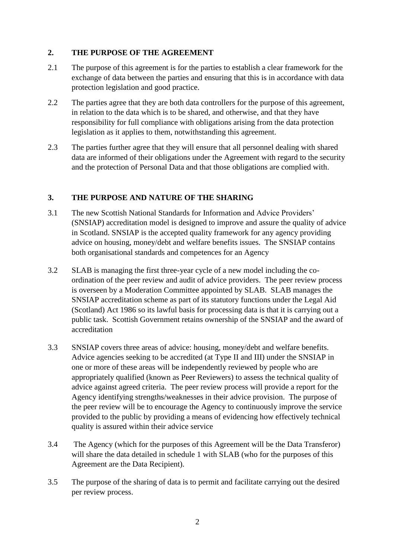### **2. THE PURPOSE OF THE AGREEMENT**

- 2.1 The purpose of this agreement is for the parties to establish a clear framework for the exchange of data between the parties and ensuring that this is in accordance with data protection legislation and good practice.
- 2.2 The parties agree that they are both data controllers for the purpose of this agreement, in relation to the data which is to be shared, and otherwise, and that they have responsibility for full compliance with obligations arising from the data protection legislation as it applies to them, notwithstanding this agreement.
- 2.3 The parties further agree that they will ensure that all personnel dealing with shared data are informed of their obligations under the Agreement with regard to the security and the protection of Personal Data and that those obligations are complied with.

## **3. THE PURPOSE AND NATURE OF THE SHARING**

- 3.1 The new Scottish National Standards for Information and Advice Providers' (SNSIAP) accreditation model is designed to improve and assure the quality of advice in Scotland. SNSIAP is the accepted quality framework for any agency providing advice on housing, money/debt and welfare benefits issues. The SNSIAP contains both organisational standards and competences for an Agency
- 3.2 SLAB is managing the first three-year cycle of a new model including the coordination of the peer review and audit of advice providers. The peer review process is overseen by a Moderation Committee appointed by SLAB. SLAB manages the SNSIAP accreditation scheme as part of its statutory functions under the Legal Aid (Scotland) Act 1986 so its lawful basis for processing data is that it is carrying out a public task. Scottish Government retains ownership of the SNSIAP and the award of accreditation
- 3.3 SNSIAP covers three areas of advice: housing, money/debt and welfare benefits. Advice agencies seeking to be accredited (at Type II and III) under the SNSIAP in one or more of these areas will be independently reviewed by people who are appropriately qualified (known as Peer Reviewers) to assess the technical quality of advice against agreed criteria. The peer review process will provide a report for the Agency identifying strengths/weaknesses in their advice provision. The purpose of the peer review will be to encourage the Agency to continuously improve the service provided to the public by providing a means of evidencing how effectively technical quality is assured within their advice service
- 3.4 The Agency (which for the purposes of this Agreement will be the Data Transferor) will share the data detailed in schedule 1 with SLAB (who for the purposes of this Agreement are the Data Recipient).
- 3.5 The purpose of the sharing of data is to permit and facilitate carrying out the desired per review process.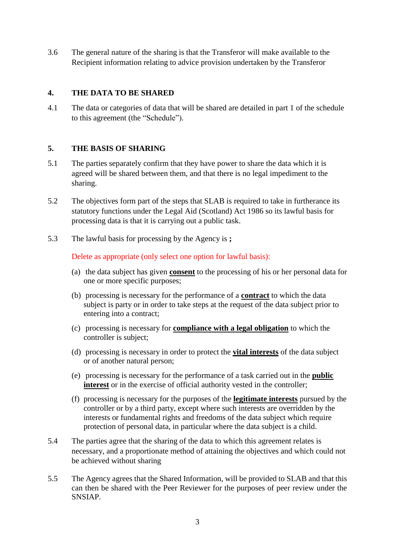3.6 The general nature of the sharing is that the Transferor will make available to the Recipient information relating to advice provision undertaken by the Transferor

#### **4. THE DATA TO BE SHARED**

4.1 The data or categories of data that will be shared are detailed in part 1 of the schedule to this agreement (the "Schedule").

#### **5. THE BASIS OF SHARING**

- 5.1 The parties separately confirm that they have power to share the data which it is agreed will be shared between them, and that there is no legal impediment to the sharing.
- 5.2 The objectives form part of the steps that SLAB is required to take in furtherance its statutory functions under the Legal Aid (Scotland) Act 1986 so its lawful basis for processing data is that it is carrying out a public task.
- 5.3 The lawful basis for processing by the Agency is **;**

Delete as appropriate (only select one option for lawful basis):

- (a) the data subject has given **consent** to the processing of his or her personal data for one or more specific purposes;
- (b) processing is necessary for the performance of a **contract** to which the data subject is party or in order to take steps at the request of the data subject prior to entering into a contract;
- (c) processing is necessary for **compliance with a legal obligation** to which the controller is subject;
- (d) processing is necessary in order to protect the **vital interests** of the data subject or of another natural person;
- (e) processing is necessary for the performance of a task carried out in the **public interest** or in the exercise of official authority vested in the controller;
- (f) processing is necessary for the purposes of the **legitimate interests** pursued by the controller or by a third party, except where such interests are overridden by the interests or fundamental rights and freedoms of the data subject which require protection of personal data, in particular where the data subject is a child.
- 5.4 The parties agree that the sharing of the data to which this agreement relates is necessary, and a proportionate method of attaining the objectives and which could not be achieved without sharing
- 5.5 The Agency agrees that the Shared Information, will be provided to SLAB and that this can then be shared with the Peer Reviewer for the purposes of peer review under the SNSIAP.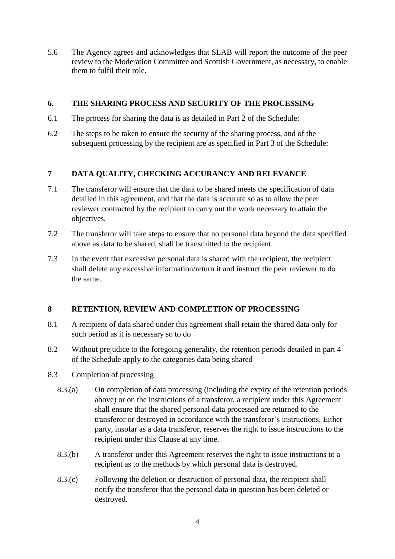5.6 The Agency agrees and acknowledges that SLAB will report the outcome of the peer review to the Moderation Committee and Scottish Government, as necessary, to enable them to fulfil their role.

### **6. THE SHARING PROCESS AND SECURITY OF THE PROCESSING**

- 6.1 The process for sharing the data is as detailed in Part 2 of the Schedule:
- 6.2 The steps to be taken to ensure the security of the sharing process, and of the subsequent processing by the recipient are as specified in Part 3 of the Schedule:

## **7 DATA QUALITY, CHECKING ACCURANCY AND RELEVANCE**

- 7.1 The transferor will ensure that the data to be shared meets the specification of data detailed in this agreement, and that the data is accurate so as to allow the peer reviewer contracted by the recipient to carry out the work necessary to attain the objectives.
- 7.2 The transferor will take steps to ensure that no personal data beyond the data specified above as data to be shared, shall be transmitted to the recipient.
- 7.3 In the event that excessive personal data is shared with the recipient, the recipient shall delete any excessive information/return it and instruct the peer reviewer to do the same.

### **8 RETENTION, REVIEW AND COMPLETION OF PROCESSING**

- 8.1 A recipient of data shared under this agreement shall retain the shared data only for such period as it is necessary so to do
- 8.2 Without prejudice to the foregoing generality, the retention periods detailed in part 4 of the Schedule apply to the categories data being shared

#### 8.3 Completion of processing

- 8.3.(a) On completion of data processing (including the expiry of the retention periods above) or on the instructions of a transferor, a recipient under this Agreement shall ensure that the shared personal data processed are returned to the transferor or destroyed in accordance with the transferor's instructions. Either party, insofar as a data transferor, reserves the right to issue instructions to the recipient under this Clause at any time.
- 8.3.(b) A transferor under this Agreement reserves the right to issue instructions to a recipient as to the methods by which personal data is destroyed.
- 8.3.(c) Following the deletion or destruction of personal data, the recipient shall notify the transferor that the personal data in question has been deleted or destroyed.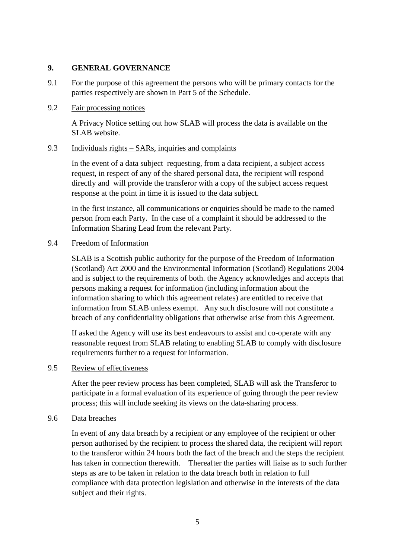#### **9. GENERAL GOVERNANCE**

9.1 For the purpose of this agreement the persons who will be primary contacts for the parties respectively are shown in Part 5 of the Schedule.

### 9.2 Fair processing notices

A Privacy Notice setting out how SLAB will process the data is available on the SLAB website.

#### 9.3 Individuals rights – SARs, inquiries and complaints

In the event of a data subject requesting, from a data recipient, a subject access request, in respect of any of the shared personal data, the recipient will respond directly and will provide the transferor with a copy of the subject access request response at the point in time it is issued to the data subject.

In the first instance, all communications or enquiries should be made to the named person from each Party. In the case of a complaint it should be addressed to the Information Sharing Lead from the relevant Party.

#### 9.4 Freedom of Information

SLAB is a Scottish public authority for the purpose of the Freedom of Information (Scotland) Act 2000 and the Environmental Information (Scotland) Regulations 2004 and is subject to the requirements of both. the Agency acknowledges and accepts that persons making a request for information (including information about the information sharing to which this agreement relates) are entitled to receive that information from SLAB unless exempt. Any such disclosure will not constitute a breach of any confidentiality obligations that otherwise arise from this Agreement.

If asked the Agency will use its best endeavours to assist and co-operate with any reasonable request from SLAB relating to enabling SLAB to comply with disclosure requirements further to a request for information.

### 9.5 Review of effectiveness

After the peer review process has been completed, SLAB will ask the Transferor to participate in a formal evaluation of its experience of going through the peer review process; this will include seeking its views on the data-sharing process.

#### 9.6 Data breaches

In event of any data breach by a recipient or any employee of the recipient or other person authorised by the recipient to process the shared data, the recipient will report to the transferor within 24 hours both the fact of the breach and the steps the recipient has taken in connection therewith. Thereafter the parties will liaise as to such further steps as are to be taken in relation to the data breach both in relation to full compliance with data protection legislation and otherwise in the interests of the data subject and their rights.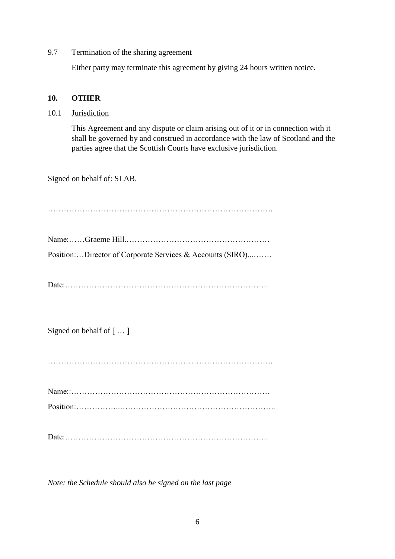#### 9.7 Termination of the sharing agreement

Either party may terminate this agreement by giving 24 hours written notice.

#### **10. OTHER**

10.1 Jurisdiction

This Agreement and any dispute or claim arising out of it or in connection with it shall be governed by and construed in accordance with the law of Scotland and the parties agree that the Scottish Courts have exclusive jurisdiction.

Signed on behalf of: SLAB.

Name:……Graeme Hill.……………………………………………… Position:…Director of Corporate Services & Accounts (SIRO)...…….

………………………………………………………………………….

Date:…………………………………………………………………..

Signed on behalf of [ … ]

Name::………………………………………………………………… Position:……………..…………………………………………………..

Date:…………………………………………………………………..

*Note: the Schedule should also be signed on the last page*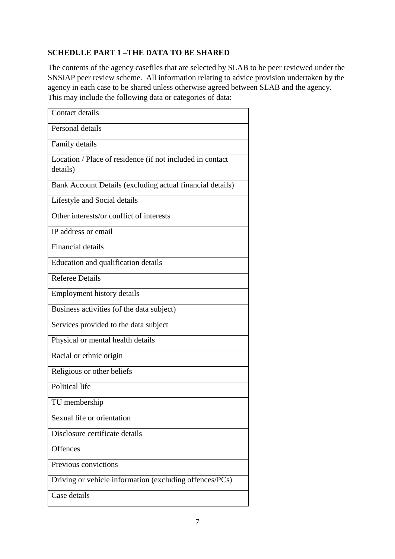## **SCHEDULE PART 1 –THE DATA TO BE SHARED**

The contents of the agency casefiles that are selected by SLAB to be peer reviewed under the SNSIAP peer review scheme. All information relating to advice provision undertaken by the agency in each case to be shared unless otherwise agreed between SLAB and the agency. This may include the following data or categories of data:

| Contact details                                                       |
|-----------------------------------------------------------------------|
| Personal details                                                      |
| Family details                                                        |
| Location / Place of residence (if not included in contact<br>details) |
| Bank Account Details (excluding actual financial details)             |
| Lifestyle and Social details                                          |
| Other interests/or conflict of interests                              |
| IP address or email                                                   |
| <b>Financial details</b>                                              |
| Education and qualification details                                   |
| <b>Referee Details</b>                                                |
| <b>Employment history details</b>                                     |
| Business activities (of the data subject)                             |
| Services provided to the data subject                                 |
| Physical or mental health details                                     |
| Racial or ethnic origin                                               |
| Religious or other beliefs                                            |
| Political life                                                        |
| TU membership                                                         |
| Sexual life or orientation                                            |
| Disclosure certificate details                                        |
| Offences                                                              |
| Previous convictions                                                  |
| Driving or vehicle information (excluding offences/PCs)               |
| Case details                                                          |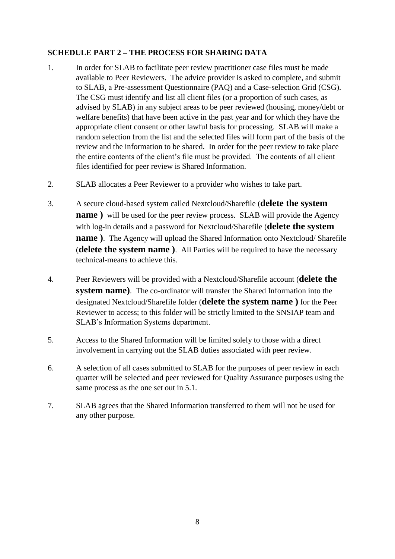## **SCHEDULE PART 2 – THE PROCESS FOR SHARING DATA**

- 1. In order for SLAB to facilitate peer review practitioner case files must be made available to Peer Reviewers. The advice provider is asked to complete, and submit to SLAB, a Pre-assessment Questionnaire (PAQ) and a Case-selection Grid (CSG). The CSG must identify and list all client files (or a proportion of such cases, as advised by SLAB) in any subject areas to be peer reviewed (housing, money/debt or welfare benefits) that have been active in the past year and for which they have the appropriate client consent or other lawful basis for processing. SLAB will make a random selection from the list and the selected files will form part of the basis of the review and the information to be shared. In order for the peer review to take place the entire contents of the client's file must be provided. The contents of all client files identified for peer review is Shared Information.
- 2. SLAB allocates a Peer Reviewer to a provider who wishes to take part.
- 3. A secure cloud-based system called Nextcloud/Sharefile (**delete the system name** ) will be used for the peer review process. SLAB will provide the Agency with log-in details and a password for Nextcloud/Sharefile (**delete the system name**). The Agency will upload the Shared Information onto Nextcloud/Sharefile (**delete the system name )**. All Parties will be required to have the necessary technical-means to achieve this.
- 4. Peer Reviewers will be provided with a Nextcloud/Sharefile account (**delete the system name)**. The co-ordinator will transfer the Shared Information into the designated Nextcloud/Sharefile folder (**delete the system name )** for the Peer Reviewer to access; to this folder will be strictly limited to the SNSIAP team and SLAB's Information Systems department.
- 5. Access to the Shared Information will be limited solely to those with a direct involvement in carrying out the SLAB duties associated with peer review.
- 6. A selection of all cases submitted to SLAB for the purposes of peer review in each quarter will be selected and peer reviewed for Quality Assurance purposes using the same process as the one set out in 5.1.
- 7. SLAB agrees that the Shared Information transferred to them will not be used for any other purpose.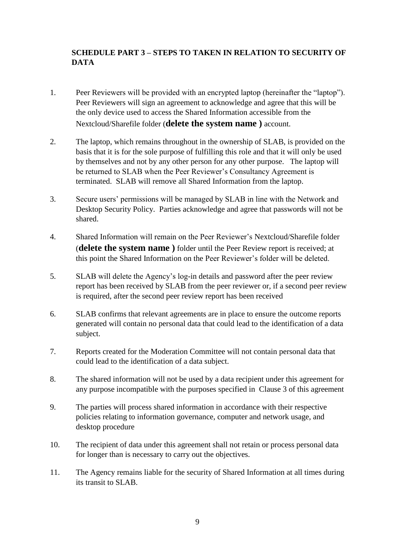## **SCHEDULE PART 3 – STEPS TO TAKEN IN RELATION TO SECURITY OF DATA**

- 1. Peer Reviewers will be provided with an encrypted laptop (hereinafter the "laptop"). Peer Reviewers will sign an agreement to acknowledge and agree that this will be the only device used to access the Shared Information accessible from the Nextcloud/Sharefile folder (**delete the system name )** account.
- 2. The laptop, which remains throughout in the ownership of SLAB, is provided on the basis that it is for the sole purpose of fulfilling this role and that it will only be used by themselves and not by any other person for any other purpose. The laptop will be returned to SLAB when the Peer Reviewer's Consultancy Agreement is terminated. SLAB will remove all Shared Information from the laptop.
- 3. Secure users' permissions will be managed by SLAB in line with the Network and Desktop Security Policy. Parties acknowledge and agree that passwords will not be shared.
- 4. Shared Information will remain on the Peer Reviewer's Nextcloud/Sharefile folder (**delete the system name )** folder until the Peer Review report is received; at this point the Shared Information on the Peer Reviewer's folder will be deleted.
- 5. SLAB will delete the Agency's log-in details and password after the peer review report has been received by SLAB from the peer reviewer or, if a second peer review is required, after the second peer review report has been received
- 6. SLAB confirms that relevant agreements are in place to ensure the outcome reports generated will contain no personal data that could lead to the identification of a data subject.
- 7. Reports created for the Moderation Committee will not contain personal data that could lead to the identification of a data subject.
- 8. The shared information will not be used by a data recipient under this agreement for any purpose incompatible with the purposes specified in Clause 3 of this agreement
- 9. The parties will process shared information in accordance with their respective policies relating to information governance, computer and network usage, and desktop procedure
- 10. The recipient of data under this agreement shall not retain or process personal data for longer than is necessary to carry out the objectives.
- 11. The Agency remains liable for the security of Shared Information at all times during its transit to SLAB.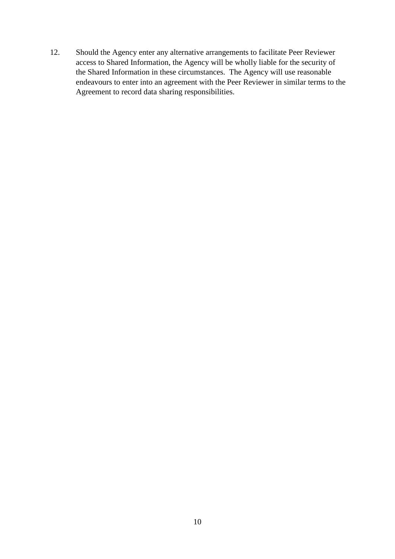12. Should the Agency enter any alternative arrangements to facilitate Peer Reviewer access to Shared Information, the Agency will be wholly liable for the security of the Shared Information in these circumstances. The Agency will use reasonable endeavours to enter into an agreement with the Peer Reviewer in similar terms to the Agreement to record data sharing responsibilities.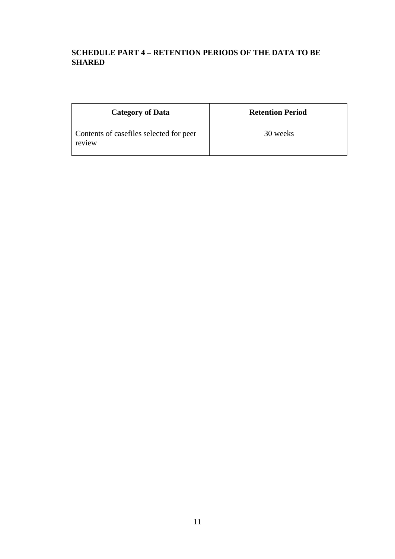# **SCHEDULE PART 4 – RETENTION PERIODS OF THE DATA TO BE SHARED**

| <b>Category of Data</b>                           | <b>Retention Period</b> |
|---------------------------------------------------|-------------------------|
| Contents of casefiles selected for peer<br>review | 30 weeks                |